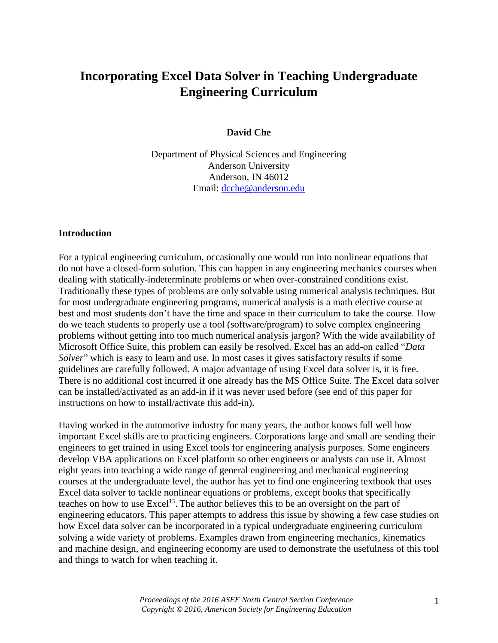# **Incorporating Excel Data Solver in Teaching Undergraduate Engineering Curriculum**

**David Che**

Department of Physical Sciences and Engineering Anderson University Anderson, IN 46012 Email: [dcche@anderson.edu](mailto:dcche@anderson.edu)

#### **Introduction**

For a typical engineering curriculum, occasionally one would run into nonlinear equations that do not have a closed-form solution. This can happen in any engineering mechanics courses when dealing with statically-indeterminate problems or when over-constrained conditions exist. Traditionally these types of problems are only solvable using numerical analysis techniques. But for most undergraduate engineering programs, numerical analysis is a math elective course at best and most students don't have the time and space in their curriculum to take the course. How do we teach students to properly use a tool (software/program) to solve complex engineering problems without getting into too much numerical analysis jargon? With the wide availability of Microsoft Office Suite, this problem can easily be resolved. Excel has an add-on called "*Data Solver*" which is easy to learn and use. In most cases it gives satisfactory results if some guidelines are carefully followed. A major advantage of using Excel data solver is, it is free. There is no additional cost incurred if one already has the MS Office Suite. The Excel data solver can be installed/activated as an add-in if it was never used before (see end of this paper for instructions on how to install/activate this add-in).

Having worked in the automotive industry for many years, the author knows full well how important Excel skills are to practicing engineers. Corporations large and small are sending their engineers to get trained in using Excel tools for engineering analysis purposes. Some engineers develop VBA applications on Excel platform so other engineers or analysts can use it. Almost eight years into teaching a wide range of general engineering and mechanical engineering courses at the undergraduate level, the author has yet to find one engineering textbook that uses Excel data solver to tackle nonlinear equations or problems, except books that specifically teaches on how to use  $\text{Excell}^{15}$ . The author believes this to be an oversight on the part of engineering educators. This paper attempts to address this issue by showing a few case studies on how Excel data solver can be incorporated in a typical undergraduate engineering curriculum solving a wide variety of problems. Examples drawn from engineering mechanics, kinematics and machine design, and engineering economy are used to demonstrate the usefulness of this tool and things to watch for when teaching it.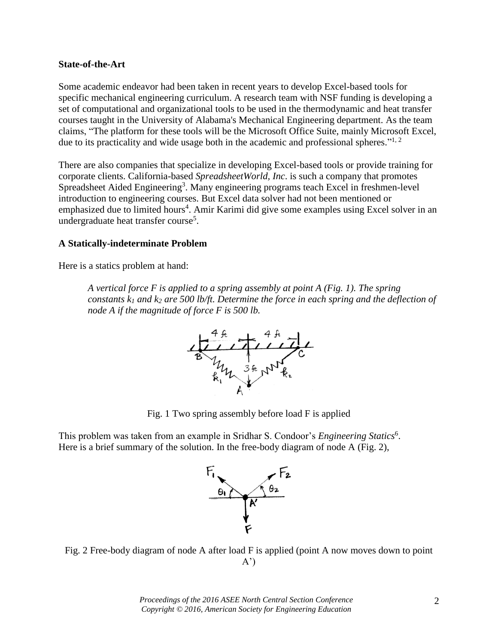#### **State-of-the-Art**

Some academic endeavor had been taken in recent years to develop Excel-based tools for specific mechanical engineering curriculum. A research team with NSF funding is developing a set of computational and organizational tools to be used in the thermodynamic and heat transfer courses taught in the University of Alabama's Mechanical Engineering department. As the team claims, "The platform for these tools will be the Microsoft Office Suite, mainly Microsoft Excel, due to its practicality and wide usage both in the academic and professional spheres."<sup>1, 2</sup>

There are also companies that specialize in developing Excel-based tools or provide training for corporate clients. California-based *SpreadsheetWorld, Inc*. is such a company that promotes Spreadsheet Aided Engineering<sup>3</sup>. Many engineering programs teach Excel in freshmen-level introduction to engineering courses. But Excel data solver had not been mentioned or emphasized due to limited hours<sup>4</sup>. Amir Karimi did give some examples using Excel solver in an undergraduate heat transfer course<sup>5</sup>.

#### **A Statically-indeterminate Problem**

Here is a statics problem at hand:

*A vertical force F is applied to a spring assembly at point A (Fig. 1). The spring constants k<sup>1</sup> and k<sup>2</sup> are 500 lb/ft. Determine the force in each spring and the deflection of node A if the magnitude of force F is 500 lb.* 



Fig. 1 Two spring assembly before load F is applied

This problem was taken from an example in Sridhar S. Condoor's *Engineering Statics*<sup>6</sup>. Here is a brief summary of the solution. In the free-body diagram of node A (Fig. 2),



Fig. 2 Free-body diagram of node A after load F is applied (point A now moves down to point  $A^{\prime}$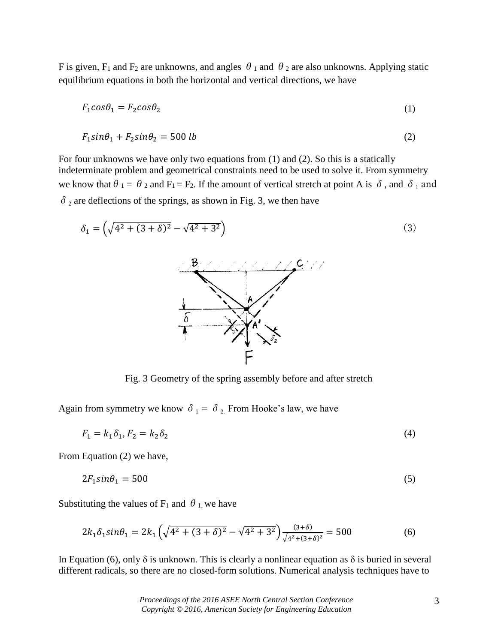F is given, F<sub>1</sub> and F<sub>2</sub> are unknowns, and angles  $\theta_1$  and  $\theta_2$  are also unknowns. Applying static equilibrium equations in both the horizontal and vertical directions, we have

$$
F_1 \cos \theta_1 = F_2 \cos \theta_2 \tag{1}
$$

$$
F_1 \sin \theta_1 + F_2 \sin \theta_2 = 500 \, lb \tag{2}
$$

For four unknowns we have only two equations from (1) and (2). So this is a statically indeterminate problem and geometrical constraints need to be used to solve it. From symmetry we know that  $\theta_1 = \theta_2$  and  $F_1 = F_2$ . If the amount of vertical stretch at point A is  $\delta$ , and  $\delta_1$  and  $\delta_2$  are deflections of the springs, as shown in Fig. 3, we then have



Fig. 3 Geometry of the spring assembly before and after stretch

Again from symmetry we know  $\delta_1 = \delta_2$ . From Hooke's law, we have

$$
F_1 = k_1 \delta_1, F_2 = k_2 \delta_2 \tag{4}
$$

From Equation (2) we have,

$$
2F_1 \sin \theta_1 = 500 \tag{5}
$$

Substituting the values of F<sub>1</sub> and  $\theta$ <sub>1</sub>, we have

$$
2k_1 \delta_1 \sin \theta_1 = 2k_1 \left( \sqrt{4^2 + (3 + \delta)^2} - \sqrt{4^2 + 3^2} \right) \frac{(3 + \delta)}{\sqrt{4^2 + (3 + \delta)^2}} = 500 \tag{6}
$$

In Equation (6), only δ is unknown. This is clearly a nonlinear equation as δ is buried in several different radicals, so there are no closed-form solutions. Numerical analysis techniques have to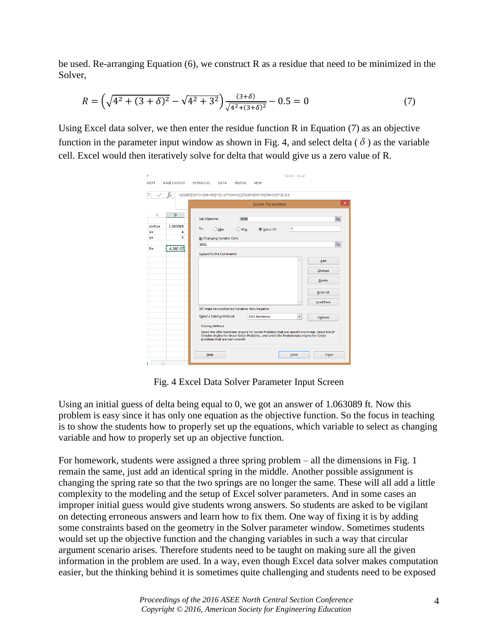be used. Re-arranging Equation (6), we construct R as a residue that need to be minimized in the Solver,

$$
R = \left(\sqrt{4^2 + (3 + \delta)^2} - \sqrt{4^2 + 3^2}\right) \frac{(3 + \delta)}{\sqrt{4^2 + (3 + \delta)^2}} - 0.5 = 0\tag{7}
$$

Using Excel data solver, we then enter the residue function R in Equation (7) as an objective function in the parameter input window as shown in Fig. 4, and select delta ( $\delta$ ) as the variable cell. Excel would then iteratively solve for delta that would give us a zero value of R.

| $f_x$          |               |                       |                                    |                        | =(SQRT(D3^2+(D4+D2)^2)-5)*(D4+D2)/SQRT(D3^2+(D4+D2)^2)-0.5<br><b>Solver Parameters</b>                                                                                                   |              | $\times$         |
|----------------|---------------|-----------------------|------------------------------------|------------------------|------------------------------------------------------------------------------------------------------------------------------------------------------------------------------------------|--------------|------------------|
| C<br>$de$ Ita= | D<br>1.063089 | Set Objective:<br>To: | $\bigcirc$ Max                     | SDS6<br>$\bigcirc$ Min | ◉ Value Of:                                                                                                                                                                              | 0            | 医                |
| $x =$<br>$V =$ | 4<br>3        |                       | By Changing Variable Cells:        |                        |                                                                                                                                                                                          |              |                  |
| $R =$          | 4.26E-07      | SDS <sub>2</sub>      | <b>Subject to the Constraints:</b> |                        |                                                                                                                                                                                          |              | 嶐                |
|                |               |                       |                                    |                        |                                                                                                                                                                                          |              | Add              |
|                |               |                       |                                    |                        |                                                                                                                                                                                          |              | Change           |
|                |               |                       |                                    |                        |                                                                                                                                                                                          |              | <b>Delete</b>    |
|                |               |                       |                                    |                        |                                                                                                                                                                                          |              | <b>Reset All</b> |
|                |               |                       |                                    |                        |                                                                                                                                                                                          |              | Load/Save        |
|                |               |                       |                                    |                        | Make Unconstrained Variables Non-Negative                                                                                                                                                |              |                  |
|                |               |                       | Select a Solving Method:           |                        | <b>GRG Nonlinear</b>                                                                                                                                                                     | $\checkmark$ | Options          |
|                |               | <b>Solving Method</b> | problems that are non-smooth.      |                        | Select the GRG Nonlinear engine for Solver Problems that are smooth nonlinear. Select the LP<br>Simplex engine for linear Solver Problems, and select the Evolutionary engine for Solver |              |                  |

Fig. 4 Excel Data Solver Parameter Input Screen

Using an initial guess of delta being equal to 0, we got an answer of 1.063089 ft. Now this problem is easy since it has only one equation as the objective function. So the focus in teaching is to show the students how to properly set up the equations, which variable to select as changing variable and how to properly set up an objective function.

For homework, students were assigned a three spring problem – all the dimensions in Fig. 1 remain the same, just add an identical spring in the middle. Another possible assignment is changing the spring rate so that the two springs are no longer the same. These will all add a little complexity to the modeling and the setup of Excel solver parameters. And in some cases an improper initial guess would give students wrong answers. So students are asked to be vigilant on detecting erroneous answers and learn how to fix them. One way of fixing it is by adding some constraints based on the geometry in the Solver parameter window. Sometimes students would set up the objective function and the changing variables in such a way that circular argument scenario arises. Therefore students need to be taught on making sure all the given information in the problem are used. In a way, even though Excel data solver makes computation easier, but the thinking behind it is sometimes quite challenging and students need to be exposed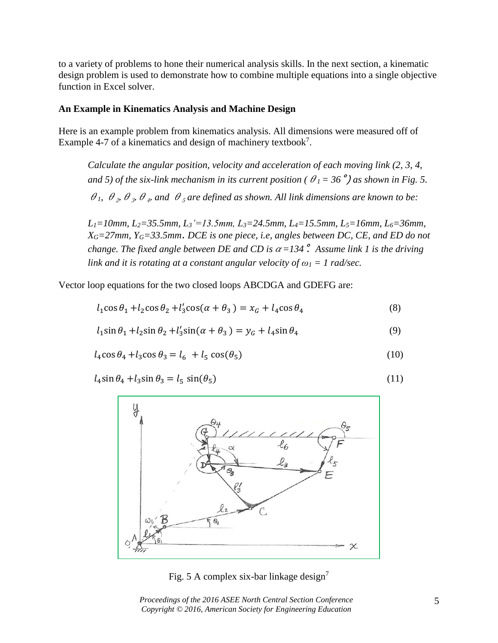to a variety of problems to hone their numerical analysis skills. In the next section, a kinematic design problem is used to demonstrate how to combine multiple equations into a single objective function in Excel solver.

#### **An Example in Kinematics Analysis and Machine Design**

Here is an example problem from kinematics analysis. All dimensions were measured off of Example 4-7 of a kinematics and design of machinery textbook<sup>7</sup>.

*Calculate the angular position, velocity and acceleration of each moving link (2, 3, 4, and 5) of the six-link mechanism in its current position (* $\theta_1 = 36^\circ$ ) *as shown in Fig. 5.*  $\theta_1$ ,  $\theta_2$ ,  $\theta_3$ ,  $\theta_4$ , and  $\theta_5$  are defined as shown. All link dimensions are known to be:

*L1=10mm, L2=35.5mm, L3'=13.5mm, L3=24.5mm, L4=15.5mm, L5=16mm, L6=36mm, XG=27mm, YG=33.5mm*. *DCE is one piece, i.e, angles between DC, CE, and ED do not change. The fixed angle between DE and CD is*  $\alpha = 134$   $\degree$ . Assume link 1 is the driving *link and it is rotating at a constant angular velocity of*  $\omega_1 = 1$  *rad/sec.* 

Vector loop equations for the two closed loops ABCDGA and GDEFG are:

$$
l_1 \cos \theta_1 + l_2 \cos \theta_2 + l'_3 \cos(\alpha + \theta_3) = x_G + l_4 \cos \theta_4 \tag{8}
$$

$$
l_1 \sin \theta_1 + l_2 \sin \theta_2 + l'_3 \sin(\alpha + \theta_3) = y_G + l_4 \sin \theta_4
$$
\n(9)

$$
l_4 \cos \theta_4 + l_3 \cos \theta_3 = l_6 + l_5 \cos(\theta_5)
$$
 (10)

$$
l_4 \sin \theta_4 + l_3 \sin \theta_3 = l_5 \sin(\theta_5)
$$
\n(11)



Fig. 5 A complex six-bar linkage design<sup>7</sup>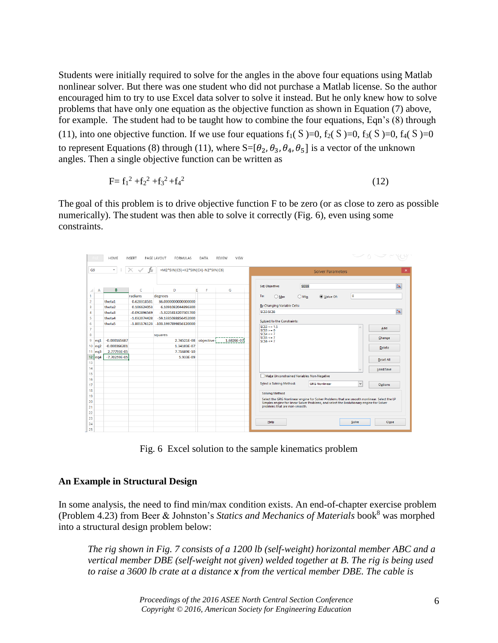Students were initially required to solve for the angles in the above four equations using Matlab nonlinear solver. But there was one student who did not purchase a Matlab license. So the author encouraged him to try to use Excel data solver to solve it instead. But he only knew how to solve problems that have only one equation as the objective function as shown in Equation (7) above, for example. The student had to be taught how to combine the four equations, Eqn's (8) through (11), into one objective function. If we use four equations  $f_1(S)=0$ ,  $f_2(S)=0$ ,  $f_3(S)=0$ ,  $f_4(S)=0$ to represent Equations (8) through (11), where  $S=[\theta_2, \theta_3, \theta_4, \theta_5]$  is a vector of the unknown angles. Then a single objective function can be written as

$$
F = f_1^2 + f_2^2 + f_3^2 + f_4^2 \tag{12}
$$

The goal of this problem is to drive objective function F to be zero (or as close to zero as possible numerically). The student was then able to solve it correctly (Fig. 6), even using some constraints.

|                |                                                                   | HOME             | <b>INSERT</b>                       | PAGE LAYOUT<br>FORMULAS            | DATA   | <b>REVIEW</b><br>VIEW                | $\smile$ $\smile$ $\smile$                                                                   |  |  |  |
|----------------|-------------------------------------------------------------------|------------------|-------------------------------------|------------------------------------|--------|--------------------------------------|----------------------------------------------------------------------------------------------|--|--|--|
|                | $\times$<br>fx<br>$\overline{\phantom{a}}$<br>G <sub>9</sub><br>÷ |                  | $=M2*SIN(C5)+K2*SIN(C4)-N2*SIN(C6)$ |                                    |        | $\times$<br><b>Solver Parameters</b> |                                                                                              |  |  |  |
| 41             | А                                                                 | B                | c                                   | D                                  | F<br>F | G                                    | 医<br><b>SGS9</b><br>Set Objective:                                                           |  |  |  |
| 1              |                                                                   |                  | radians                             | degrees                            |        |                                      | $\circ$<br>To:<br>(C) Value Of:<br>$\bigcirc$ Max<br>$\bigcirc$ Min                          |  |  |  |
| $\overline{2}$ |                                                                   | theta1           | 0.628318531                         | 36.0000000000000000                |        |                                      |                                                                                              |  |  |  |
| 3              |                                                                   | theta2           | 0.106624053                         | 6.1091082044896300                 |        |                                      | By Changing Variable Cells:                                                                  |  |  |  |
| 4              |                                                                   | theta3           | $-0.092896569$                      | -5.3225813207505700                |        |                                      | 医<br>SCS3:SCS6                                                                               |  |  |  |
| 5              |                                                                   | theta4           | $-1.032074428$                      | -59.1335088856452000               |        |                                      |                                                                                              |  |  |  |
| 6              |                                                                   | theta5           |                                     | -1.801176123 -103.1997899856120000 |        |                                      | <b>Subject to the Constraints:</b>                                                           |  |  |  |
| 7              |                                                                   |                  |                                     |                                    |        |                                      | $SCS3 < = 1.5$<br>Add<br>$SCS3 > = 0$                                                        |  |  |  |
| 8              |                                                                   |                  |                                     | squares                            |        |                                      | $SCS4 \leq 7$<br>$SCSS \leq 7$                                                               |  |  |  |
| 9              | ea1                                                               | $-0.000165687$   |                                     | 2.74521E-08 objective              |        | 1.6826E-07                           | Change<br>$SCS6 \leq 7$                                                                      |  |  |  |
|                | $10 \text{ ea}$                                                   | $-0.000366201$   |                                     | 1.34103E-07                        |        |                                      | <b>Delete</b>                                                                                |  |  |  |
|                | $11$ ea3                                                          | 2.77793E-05      |                                     | 7.71689E-10                        |        |                                      |                                                                                              |  |  |  |
|                | $12$ eq4                                                          | $-7.70259E - 05$ |                                     | 5.933E-09                          |        |                                      | <b>Reset All</b>                                                                             |  |  |  |
| 13             |                                                                   |                  |                                     |                                    |        |                                      |                                                                                              |  |  |  |
| 14             |                                                                   |                  |                                     |                                    |        |                                      | Load/Save                                                                                    |  |  |  |
| 15             |                                                                   |                  |                                     |                                    |        |                                      | Make Unconstrained Variables Non-Negative                                                    |  |  |  |
| 16             |                                                                   |                  |                                     |                                    |        |                                      |                                                                                              |  |  |  |
| 17             |                                                                   |                  |                                     |                                    |        |                                      | Select a Solving Method:<br><b>GRG Nonlinear</b><br>$\checkmark$<br>Options                  |  |  |  |
| 18             |                                                                   |                  |                                     |                                    |        |                                      | <b>Solving Method</b>                                                                        |  |  |  |
| 19             |                                                                   |                  |                                     |                                    |        |                                      | Select the GRG Nonlinear engine for Solver Problems that are smooth nonlinear. Select the LP |  |  |  |
| 20             |                                                                   |                  |                                     |                                    |        |                                      | Simplex engine for linear Solver Problems, and select the Evolutionary engine for Solver     |  |  |  |
| 21             |                                                                   |                  |                                     |                                    |        |                                      | problems that are non-smooth.                                                                |  |  |  |
| 22             |                                                                   |                  |                                     |                                    |        |                                      |                                                                                              |  |  |  |
| 23             |                                                                   |                  |                                     |                                    |        |                                      | Help<br>Close<br>Solve                                                                       |  |  |  |
| 24             |                                                                   |                  |                                     |                                    |        |                                      |                                                                                              |  |  |  |
| 25             |                                                                   |                  |                                     |                                    |        |                                      |                                                                                              |  |  |  |

Fig. 6 Excel solution to the sample kinematics problem

#### **An Example in Structural Design**

In some analysis, the need to find min/max condition exists. An end-of-chapter exercise problem (Problem 4.23) from Beer & Johnston's *Statics and Mechanics of Materials* book<sup>8</sup> was morphed into a structural design problem below:

*The rig shown in Fig. 7 consists of a 1200 lb (self-weight) horizontal member ABC and a vertical member DBE (self-weight not given) welded together at B. The rig is being used to raise a 3600 lb crate at a distance x from the vertical member DBE. The cable is*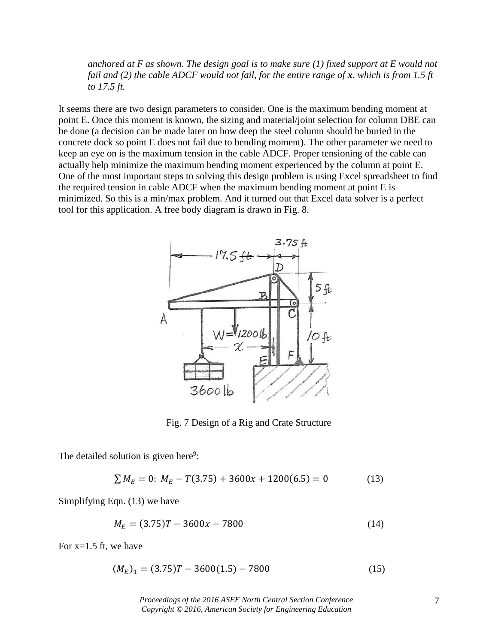*anchored at F as shown. The design goal is to make sure (1) fixed support at E would not fail and (2) the cable ADCF would not fail, for the entire range of x, which is from 1.5 ft to 17.5 ft.* 

It seems there are two design parameters to consider. One is the maximum bending moment at point E. Once this moment is known, the sizing and material/joint selection for column DBE can be done (a decision can be made later on how deep the steel column should be buried in the concrete dock so point E does not fail due to bending moment). The other parameter we need to keep an eye on is the maximum tension in the cable ADCF. Proper tensioning of the cable can actually help minimize the maximum bending moment experienced by the column at point E. One of the most important steps to solving this design problem is using Excel spreadsheet to find the required tension in cable ADCF when the maximum bending moment at point E is minimized. So this is a min/max problem. And it turned out that Excel data solver is a perfect tool for this application. A free body diagram is drawn in Fig. 8.



Fig. 7 Design of a Rig and Crate Structure

The detailed solution is given here<sup>9</sup>:

$$
\sum M_E = 0: M_E - T(3.75) + 3600x + 1200(6.5) = 0 \tag{13}
$$

Simplifying Eqn. (13) we have

$$
M_E = (3.75)T - 3600x - 7800
$$
\n<sup>(14)</sup>

For  $x=1.5$  ft, we have

$$
(M_E)_1 = (3.75)T - 3600(1.5) - 7800\tag{15}
$$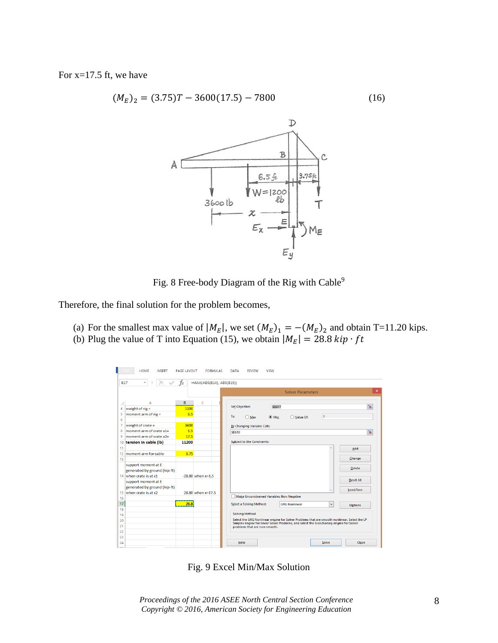For  $x=17.5$  ft, we have

$$
(M_E)_2 = (3.75)T - 3600(17.5) - 7800\tag{16}
$$



Fig. 8 Free-body Diagram of the Rig with Cable<sup>9</sup>

Therefore, the final solution for the problem becomes,

- (a) For the smallest max value of  $|M_E|$ , we set  $(M_E)_1 = -(M_E)_2$  and obtain T=11.20 kips.
- (b) Plug the value of T into Equation (15), we obtain  $|M_E| = 28.8 \, kip \cdot ft$

|          | <b>HOME</b><br><b>INSERT</b>           | PAGE LAYOUT | <b>FORMULAS</b>            | VIEW<br>DATA<br><b>REVIEW</b>                                                                |          |
|----------|----------------------------------------|-------------|----------------------------|----------------------------------------------------------------------------------------------|----------|
|          | $\overline{\phantom{a}}$<br><b>B17</b> | fx          | $=MAX(ABS(B14), ABS(B15))$ |                                                                                              |          |
|          |                                        |             |                            | <b>Solver Parameters</b>                                                                     | $\times$ |
| ⊿        | А                                      | B           | Ċ                          |                                                                                              |          |
| 4        | weight of $rig =$                      | 1200        |                            | <b>Set Objective:</b><br><b>SBS17</b>                                                        | T.       |
| 5        | moment arm of rig $=$                  | 6.5         |                            | $\overline{0}$<br>To:                                                                        |          |
| 6        |                                        |             |                            | $\odot$ Min<br>◯ Value Of:<br>$\bigcirc$ Max                                                 |          |
| 7        | weight of $crate =$                    | 3600        |                            | By Changing Variable Cells:                                                                  |          |
| 8        | moment arm of crate x1=                | 1.5         |                            | <b>SBS10</b>                                                                                 | 嶐        |
| 9        | moment arm of crate x2=                | 17.5        |                            |                                                                                              |          |
| 10       | tension in cable (lb)                  | 11200       |                            | <b>Subject to the Constraints:</b>                                                           |          |
| 11       |                                        |             |                            | Add                                                                                          |          |
| 12       | moment arm for cable                   | 3.75        |                            |                                                                                              |          |
| 13       |                                        |             |                            | Change                                                                                       |          |
|          | support moment at E                    |             |                            | <b>Delete</b>                                                                                |          |
|          | generated by ground (kip-ft)           |             |                            |                                                                                              |          |
|          | 14 when crate is at x1                 |             | $-28.80$ when $x=1.5$      | <b>Reset All</b>                                                                             |          |
|          | support moment at E                    |             |                            |                                                                                              |          |
|          | generated by ground (kip-ft)           |             |                            | Load/Save                                                                                    |          |
|          | 15 when crate is at x2                 |             | 28.80 when x=17.5          | Make Unconstrained Variables Non-Negative                                                    |          |
| 16<br>17 |                                        |             |                            |                                                                                              |          |
| 18       |                                        | 28.8        |                            | $\checkmark$<br>Select a Solving Method:<br><b>GRG Nonlinear</b><br><b>Options</b>           |          |
| 19       |                                        |             |                            | <b>Solving Method</b>                                                                        |          |
| 20       |                                        |             |                            | Select the GRG Nonlinear engine for Solver Problems that are smooth nonlinear. Select the LP |          |
| 21       |                                        |             |                            | Simplex engine for linear Solver Problems, and select the Evolutionary engine for Solver     |          |
| 22       |                                        |             |                            | problems that are non-smooth.                                                                |          |
| 23       |                                        |             |                            |                                                                                              |          |
| 24       |                                        |             |                            | Help<br>Solve<br>Close                                                                       |          |
|          |                                        |             |                            |                                                                                              |          |

Fig. 9 Excel Min/Max Solution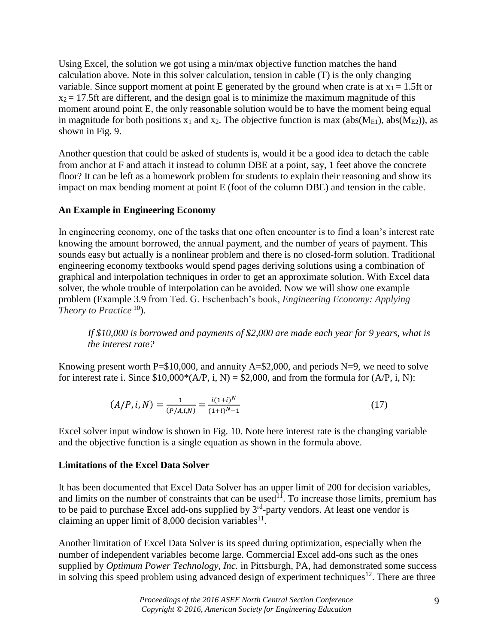Using Excel, the solution we got using a min/max objective function matches the hand calculation above. Note in this solver calculation, tension in cable (T) is the only changing variable. Since support moment at point E generated by the ground when crate is at  $x_1 = 1.5$ ft or  $x_2$  = 17.5ft are different, and the design goal is to minimize the maximum magnitude of this moment around point E, the only reasonable solution would be to have the moment being equal in magnitude for both positions  $x_1$  and  $x_2$ . The objective function is max (abs( $M_{E1}$ ), abs( $M_{E2}$ )), as shown in Fig. 9.

Another question that could be asked of students is, would it be a good idea to detach the cable from anchor at F and attach it instead to column DBE at a point, say, 1 feet above the concrete floor? It can be left as a homework problem for students to explain their reasoning and show its impact on max bending moment at point E (foot of the column DBE) and tension in the cable.

### **An Example in Engineering Economy**

In engineering economy, one of the tasks that one often encounter is to find a loan's interest rate knowing the amount borrowed, the annual payment, and the number of years of payment. This sounds easy but actually is a nonlinear problem and there is no closed-form solution. Traditional engineering economy textbooks would spend pages deriving solutions using a combination of graphical and interpolation techniques in order to get an approximate solution. With Excel data solver, the whole trouble of interpolation can be avoided. Now we will show one example problem (Example 3.9 from Ted. G. Eschenbach's book, *Engineering Economy: Applying Theory to Practice*<sup>10</sup>).

*If \$10,000 is borrowed and payments of \$2,000 are made each year for 9 years, what is the interest rate?* 

Knowing present worth P= $$10,000$ , and annuity A= $$2,000$ , and periods N=9, we need to solve for interest rate i. Since  $$10,000*(A/P, i, N) = $2,000$ , and from the formula for  $(A/P, i, N)$ :

$$
(A/P, i, N) = \frac{1}{(P/A, i, N)} = \frac{i(1+i)^N}{(1+i)^N - 1}
$$
\n(17)

Excel solver input window is shown in Fig. 10. Note here interest rate is the changing variable and the objective function is a single equation as shown in the formula above.

#### **Limitations of the Excel Data Solver**

It has been documented that Excel Data Solver has an upper limit of 200 for decision variables, and limits on the number of constraints that can be used $11$ . To increase those limits, premium has to be paid to purchase Excel add-ons supplied by  $3<sup>rd</sup>$ -party vendors. At least one vendor is claiming an upper limit of 8,000 decision variables<sup>11</sup>.

Another limitation of Excel Data Solver is its speed during optimization, especially when the number of independent variables become large. Commercial Excel add-ons such as the ones supplied by *Optimum Power Technology, Inc.* in Pittsburgh, PA, had demonstrated some success in solving this speed problem using advanced design of experiment techniques<sup>12</sup>. There are three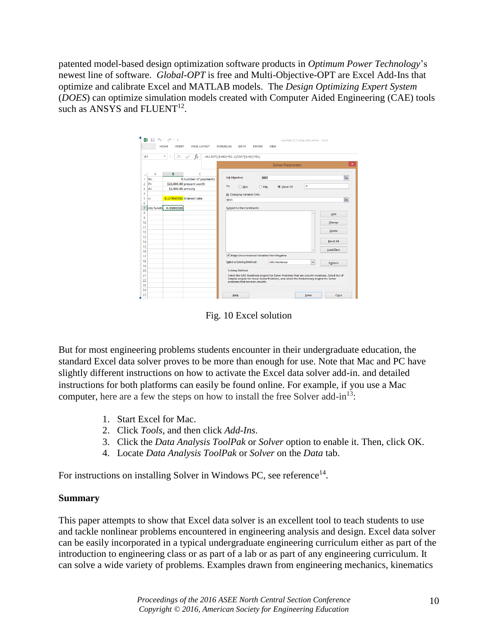patented model-based design optimization software products in *Optimum Power Technology*'s newest line of software. *Global-OPT* is free and Multi-Objective-OPT are Excel Add-Ins that optimize and calibrate Excel and MATLAB models. The *Design Optimizing Expert System* (*DOES*) can optimize simulation models created with Computer Aided Engineering (CAE) tools such as ANSYS and  $FLUENT<sup>12</sup>$ .

|                | <b>B7</b>  | v<br>÷             | fx                        | =B2-B3*((1+B5)^B1-1)/(B5*(1+B5)^B1)       |                |                                                                                              |              |                  |
|----------------|------------|--------------------|---------------------------|-------------------------------------------|----------------|----------------------------------------------------------------------------------------------|--------------|------------------|
|                |            |                    |                           |                                           |                | <b>Solver Parameters</b>                                                                     |              |                  |
| ⊿              | A          | B                  | $\epsilon$                |                                           |                |                                                                                              |              |                  |
| 1              | $N =$      |                    | 9 number of payments      | Set Objective:                            | <b>SBS7</b>    |                                                                                              |              | 医                |
| $\overline{2}$ | $P =$      |                    | \$10,000.00 present worth | To:                                       |                |                                                                                              | $\bullet$    |                  |
| з              | $A =$      | \$2,000.00 annuity |                           | $\bigcirc$ Max                            | $\bigcirc$ Min | C Value Of:                                                                                  |              |                  |
|                |            |                    |                           | By Changing Variable Cells:               |                |                                                                                              |              |                  |
|                | i=         |                    | 0.137044742 interest rate | <b>SBSS</b>                               |                |                                                                                              |              | 医                |
| 6              |            |                    |                           |                                           |                |                                                                                              |              |                  |
| $\overline{7}$ | obj functi | 0.00000000         |                           | Subject to the Constraints:               |                |                                                                                              |              |                  |
|                |            |                    |                           |                                           |                |                                                                                              |              | Add              |
|                |            |                    |                           |                                           |                |                                                                                              |              |                  |
| 10             |            |                    |                           |                                           |                |                                                                                              |              | Change           |
| 11             |            |                    |                           |                                           |                |                                                                                              |              | <b>Delete</b>    |
| 12             |            |                    |                           |                                           |                |                                                                                              |              |                  |
| 13             |            |                    |                           |                                           |                |                                                                                              |              | <b>Reset All</b> |
| 14             |            |                    |                           |                                           |                |                                                                                              |              |                  |
| 15<br>16       |            |                    |                           |                                           |                |                                                                                              | $\sim$       | Load/Save        |
| 17             |            |                    |                           | Make Unconstrained Variables Non-Negative |                |                                                                                              |              |                  |
| 18             |            |                    |                           |                                           |                |                                                                                              |              |                  |
| 19             |            |                    |                           | Select a Solving Method:                  |                | <b>GRG Nonlinear</b>                                                                         | $\checkmark$ | <b>Options</b>   |
| 20             |            |                    |                           | <b>Solving Method</b>                     |                |                                                                                              |              |                  |
| 21             |            |                    |                           |                                           |                | Select the GRG Nonlinear engine for Solver Problems that are smooth nonlinear. Select the LP |              |                  |
| 22             |            |                    |                           |                                           |                | Simplex engine for linear Solver Problems, and select the Evolutionary engine for Solver     |              |                  |
| 23             |            |                    |                           | problems that are non-smooth.             |                |                                                                                              |              |                  |
| 24             |            |                    |                           |                                           |                |                                                                                              |              |                  |
| 25             |            |                    |                           | Help                                      |                |                                                                                              | Solve        | Close            |

Fig. 10 Excel solution

But for most engineering problems students encounter in their undergraduate education, the standard Excel data solver proves to be more than enough for use. Note that Mac and PC have slightly different instructions on how to activate the Excel data solver add-in. and detailed instructions for both platforms can easily be found online. For example, if you use a Mac computer, here are a few the steps on how to install the free Solver add-in<sup>13</sup>:

- 1. Start Excel for Mac.
- 2. Click *Tools*, and then click *Add-Ins*.
- 3. Click the *Data Analysis ToolPak* or *Solver* option to enable it. Then, click OK.
- 4. Locate *Data Analysis ToolPak* or *Solver* on the *Data* tab.

For instructions on installing Solver in Windows PC, see reference<sup>14</sup>.

## **Summary**

This paper attempts to show that Excel data solver is an excellent tool to teach students to use and tackle nonlinear problems encountered in engineering analysis and design. Excel data solver can be easily incorporated in a typical undergraduate engineering curriculum either as part of the introduction to engineering class or as part of a lab or as part of any engineering curriculum. It can solve a wide variety of problems. Examples drawn from engineering mechanics, kinematics